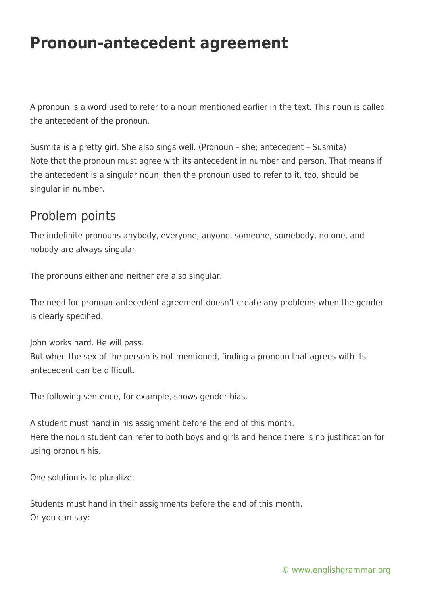## **Pronoun-antecedent agreement**

A pronoun is a word used to refer to a noun mentioned earlier in the text. This noun is called the antecedent of the pronoun.

Susmita is a pretty girl. She also sings well. (Pronoun – she; antecedent – Susmita) Note that the pronoun must agree with its antecedent in number and person. That means if the antecedent is a singular noun, then the pronoun used to refer to it, too, should be singular in number.

## Problem points

The indefinite pronouns anybody, everyone, anyone, someone, somebody, no one, and nobody are always singular.

The pronouns either and neither are also singular.

The need for pronoun-antecedent agreement doesn't create any problems when the gender is clearly specified.

John works hard. He will pass. But when the sex of the person is not mentioned, finding a pronoun that agrees with its antecedent can be difficult.

The following sentence, for example, shows gender bias.

A student must hand in his assignment before the end of this month. Here the noun student can refer to both boys and girls and hence there is no justification for using pronoun his.

One solution is to pluralize.

Students must hand in their assignments before the end of this month. Or you can say: